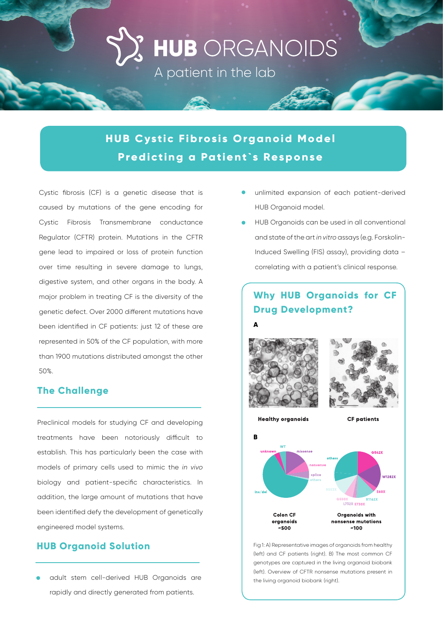# **HUB** ORGANOIDS

A patient in the lab

## **HUB Cystic Fibrosis Organoid Model Predicting a Patient`s Response**

Cystic fibrosis (CF) is a genetic disease that is caused by mutations of the gene encoding for Cystic Fibrosis Transmembrane conductance Regulator (CFTR) protein. Mutations in the CFTR gene lead to impaired or loss of protein function over time resulting in severe damage to lungs, digestive system, and other organs in the body. A major problem in treating CF is the diversity of the genetic defect. Over 2000 different mutations have been identified in CF patients: just 12 of these are represented in 50% of the CF population, with more than 1900 mutations distributed amongst the other 50%.

#### **The Challenge**

Preclinical models for studying CF and developing treatments have been notoriously difficult to establish. This has particularly been the case with models of primary cells used to mimic the *in vivo*  biology and patient-specific characteristics. In addition, the large amount of mutations that have been identified defy the development of genetically engineered model systems.

#### **HUB Organoid Solution**

• adult stem cell-derived HUB Organoids are rapidly and directly generated from patients.

- unlimited expansion of each patient-derived HUB Organoid model.
- HUB Organoids can be used in all conventional and state of the art *in vitro* assays (e.g. Forskolin-Induced Swelling (FIS) assay), providing data – correlating with a patient's clinical response.

### **Why HUB Organoids for CF Drug Development?**



**Healthy organoids** 

**A**





Fig 1: A) Representative images of organoids from healthy (left) and CF patients (right). B) The most common CF genotypes are captured in the living organoid biobank (left). Overview of CFTR nonsense mutations present in the living organoid biobank (right).